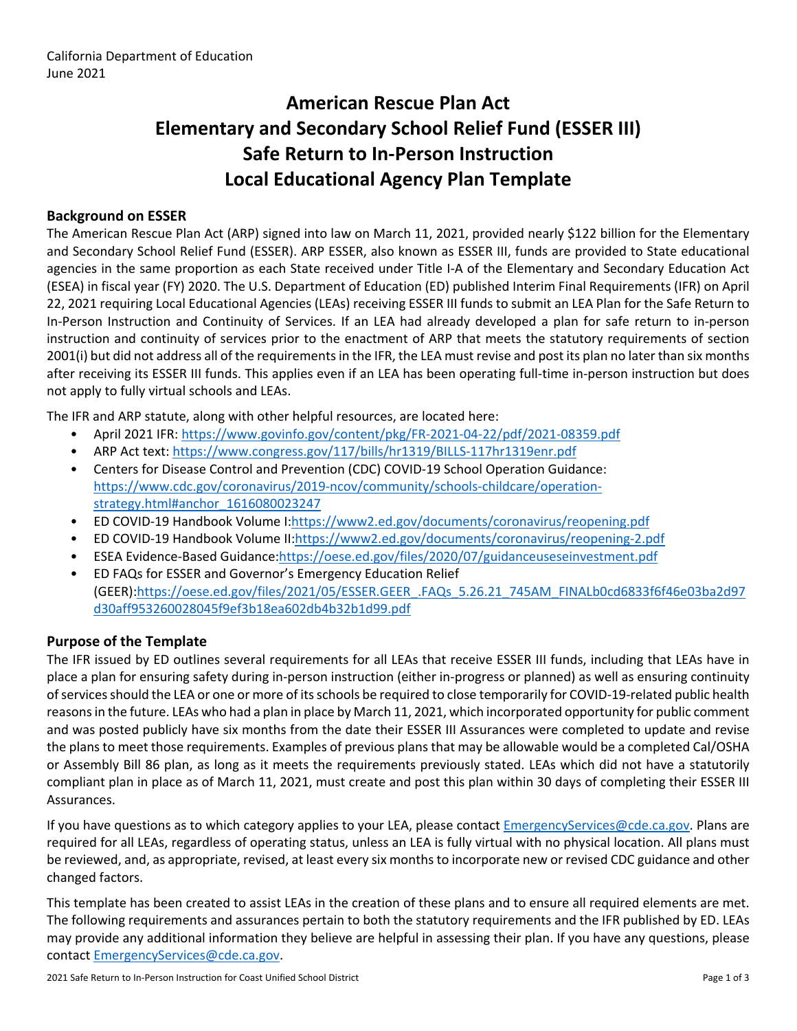# **American Rescue Plan Act Elementary and Secondary School Relief Fund (ESSER III) Safe Return to In-Person Instruction Local Educational Agency Plan Template**

### **Background on ESSER**

The American Rescue Plan Act (ARP) signed into law on March 11, 2021, provided nearly \$122 billion for the Elementary and Secondary School Relief Fund (ESSER). ARP ESSER, also known as ESSER III, funds are provided to State educational agencies in the same proportion as each State received under Title I-A of the Elementary and Secondary Education Act (ESEA) in fiscal year (FY) 2020. The U.S. Department of Education (ED) published Interim Final Requirements (IFR) on April 22, 2021 requiring Local Educational Agencies (LEAs) receiving ESSER III funds to submit an LEA Plan for the Safe Return to In-Person Instruction and Continuity of Services. If an LEA had already developed a plan for safe return to in-person instruction and continuity of services prior to the enactment of ARP that meets the statutory requirements of section 2001(i) but did not address all of the requirements in the IFR, the LEA must revise and post its plan no later than six months after receiving its ESSER III funds. This applies even if an LEA has been operating full-time in-person instruction but does not apply to fully virtual schools and LEAs.

The IFR and ARP statute, along with other helpful resources, are located here:

- April 2021 IFR: <https://www.govinfo.gov/content/pkg/FR-2021-04-22/pdf/2021-08359.pdf>
- ARP Act text: <https://www.congress.gov/117/bills/hr1319/BILLS-117hr1319enr.pdf>
- Centers for Disease Control and Prevention (CDC) COVID-19 School Operation Guidance: [https://www.cdc.gov/coronavirus/2019-ncov/community/schools-childcare/operation](https://www.cdc.gov/coronavirus/2019-ncov/community/schools-childcare/operation-strategy.html#anchor_1616080023247)[strategy.html#anchor\\_1616080023247](https://www.cdc.gov/coronavirus/2019-ncov/community/schools-childcare/operation-strategy.html#anchor_1616080023247)
- ED COVID-19 Handbook Volume I:[https://www2.ed.gov/documents/coronavirus/reopening.pdf](https://www2.ed.gov/documents/coronavirus/reopening.pdf%20)
- ED COVID-19 Handbook Volume II:<https://www2.ed.gov/documents/coronavirus/reopening-2.pdf>
- ESEA Evidence-Based Guidance[:https://oese.ed.gov/files/2020/07/guidanceuseseinvestment.pdf](https://oese.ed.gov/files/2020/07/guidanceuseseinvestment.pdf)
- ED FAQs for ESSER and Governor's Emergency Education Relief (GEER)[:https://oese.ed.gov/files/2021/05/ESSER.GEER\\_.FAQs\\_5.26.21\\_745AM\\_FINALb0cd6833f6f46e03ba2d97](https://oese.ed.gov/files/2021/05/ESSER.GEER_.FAQs_5.26.21_745AM_FINALb0cd6833f6f46e03ba2d97d30aff953260028045f9ef3b18ea602db4b32b1d99.pdf) [d30aff953260028045f9ef3b18ea602db4b32b1d99.pdf](https://oese.ed.gov/files/2021/05/ESSER.GEER_.FAQs_5.26.21_745AM_FINALb0cd6833f6f46e03ba2d97d30aff953260028045f9ef3b18ea602db4b32b1d99.pdf)

### **Purpose of the Template**

The IFR issued by ED outlines several requirements for all LEAs that receive ESSER III funds, including that LEAs have in place a plan for ensuring safety during in-person instruction (either in-progress or planned) as well as ensuring continuity of services should the LEA or one or more of its schools be required to close temporarily for COVID-19-related public health reasons in the future. LEAs who had a plan in place by March 11, 2021, which incorporated opportunity for public comment and was posted publicly have six months from the date their ESSER III Assurances were completed to update and revise the plans to meet those requirements. Examples of previous plans that may be allowable would be a completed Cal/OSHA or Assembly Bill 86 plan, as long as it meets the requirements previously stated. LEAs which did not have a statutorily compliant plan in place as of March 11, 2021, must create and post this plan within 30 days of completing their ESSER III Assurances.

If you have questions as to which category applies to your LEA, please contact [EmergencyServices@cde.ca.gov.](mailto:EmergencyServices@cde.ca.gov) Plans are required for all LEAs, regardless of operating status, unless an LEA is fully virtual with no physical location. All plans must be reviewed, and, as appropriate, revised, at least every six months to incorporate new or revised CDC guidance and other changed factors.

This template has been created to assist LEAs in the creation of these plans and to ensure all required elements are met. The following requirements and assurances pertain to both the statutory requirements and the IFR published by ED. LEAs may provide any additional information they believe are helpful in assessing their plan. If you have any questions, please contact [EmergencyServices@cde.ca.gov.](mailto:EmergencyServices@cde.ca.gov)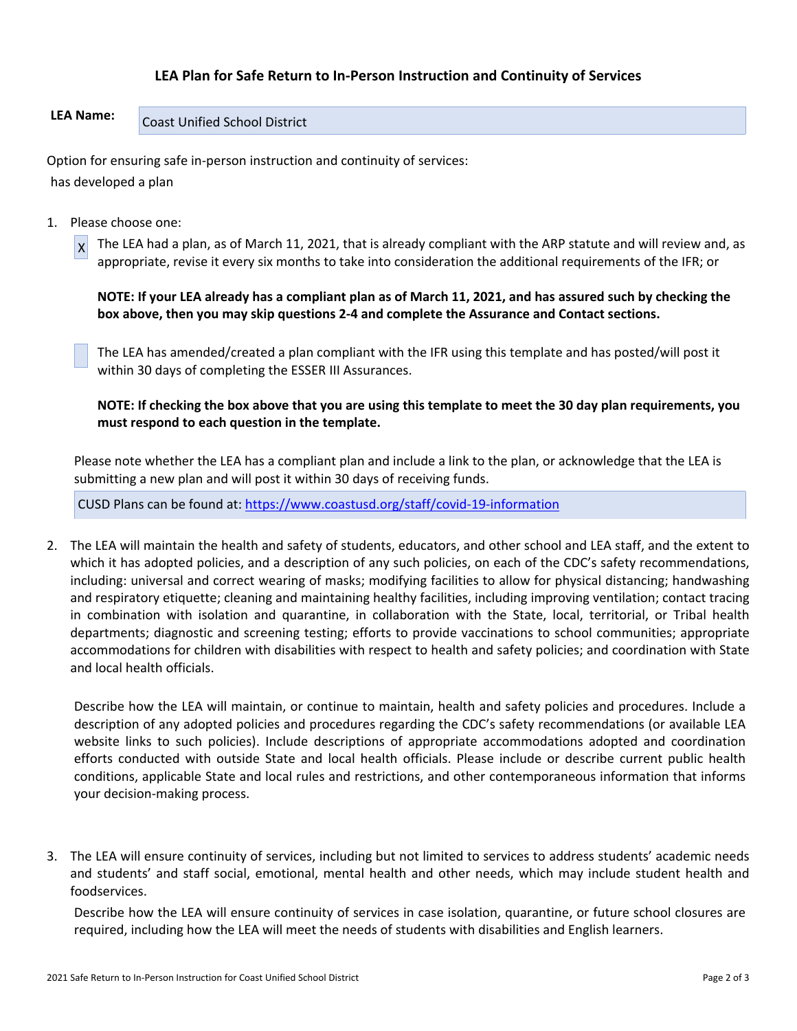### **LEA Plan for Safe Return to In-Person Instruction and Continuity of Services**

## LEA Name: Coast Unified School District

Option for ensuring safe in-person instruction and continuity of services: has developed a plan

1. Please choose one:

 $x$  The LEA had a plan, as of March 11, 2021, that is already compliant with the ARP statute and will review and, as appropriate, revise it every six months to take into consideration the additional requirements of the IFR; or

**NOTE: If your LEA already has a compliant plan as of March 11, 2021, and has assured such by checking the box above, then you may skip questions 2-4 and complete the Assurance and Contact sections.**

The LEA has amended/created a plan compliant with the IFR using this template and has posted/will post it within 30 days of completing the ESSER III Assurances.

**NOTE: If checking the box above that you are using this template to meet the 30 day plan requirements, you must respond to each question in the template.**

Please note whether the LEA has a compliant plan and include a link to the plan, or acknowledge that the LEA is submitting a new plan and will post it within 30 days of receiving funds.

CUSD Plans can be found at:<https://www.coastusd.org/staff/covid-19-information>

2. The LEA will maintain the health and safety of students, educators, and other school and LEA staff, and the extent to which it has adopted policies, and a description of any such policies, on each of the CDC's safety recommendations, including: universal and correct wearing of masks; modifying facilities to allow for physical distancing; handwashing and respiratory etiquette; cleaning and maintaining healthy facilities, including improving ventilation; contact tracing in combination with isolation and quarantine, in collaboration with the State, local, territorial, or Tribal health departments; diagnostic and screening testing; efforts to provide vaccinations to school communities; appropriate accommodations for children with disabilities with respect to health and safety policies; and coordination with State and local health officials.

Describe how the LEA will maintain, or continue to maintain, health and safety policies and procedures. Include a description of any adopted policies and procedures regarding the CDC's safety recommendations (or available LEA website links to such policies). Include descriptions of appropriate accommodations adopted and coordination efforts conducted with outside State and local health officials. Please include or describe current public health conditions, applicable State and local rules and restrictions, and other contemporaneous information that informs your decision-making process.

3. The LEA will ensure continuity of services, including but not limited to services to address students' academic needs and students' and staff social, emotional, mental health and other needs, which may include student health and foodservices.

Describe how the LEA will ensure continuity of services in case isolation, quarantine, or future school closures are required, including how the LEA will meet the needs of students with disabilities and English learners.